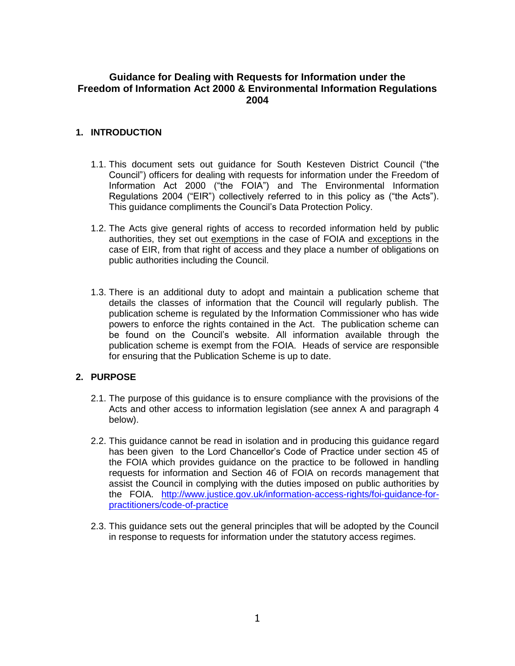# **Guidance for Dealing with Requests for Information under the Freedom of Information Act 2000 & Environmental Information Regulations 2004**

# **1. INTRODUCTION**

- 1.1. This document sets out guidance for South Kesteven District Council ("the Council") officers for dealing with requests for information under the Freedom of Information Act 2000 ("the FOIA") and The Environmental Information Regulations 2004 ("EIR") collectively referred to in this policy as ("the Acts"). This guidance compliments the Council's Data Protection Policy.
- 1.2. The Acts give general rights of access to recorded information held by public authorities, they set out exemptions in the case of FOIA and exceptions in the case of EIR, from that right of access and they place a number of obligations on public authorities including the Council.
- 1.3. There is an additional duty to adopt and maintain a publication scheme that details the classes of information that the Council will regularly publish. The publication scheme is regulated by the Information Commissioner who has wide powers to enforce the rights contained in the Act. The publication scheme can be found on the Council's website. All information available through the publication scheme is exempt from the FOIA. Heads of service are responsible for ensuring that the Publication Scheme is up to date.

# **2. PURPOSE**

- 2.1. The purpose of this guidance is to ensure compliance with the provisions of the Acts and other access to information legislation (see annex A and paragraph 4 below).
- 2.2. This guidance cannot be read in isolation and in producing this guidance regard has been given to the Lord Chancellor's Code of Practice under section 45 of the FOIA which provides guidance on the practice to be followed in handling requests for information and Section 46 of FOIA on records management that assist the Council in complying with the duties imposed on public authorities by the FOIA. [http://www.justice.gov.uk/information-access-rights/foi-guidance-for](http://www.justice.gov.uk/information-access-rights/foi-guidance-for-practitioners/code-of-practice)[practitioners/code-of-practice](http://www.justice.gov.uk/information-access-rights/foi-guidance-for-practitioners/code-of-practice)
- 2.3. This guidance sets out the general principles that will be adopted by the Council in response to requests for information under the statutory access regimes.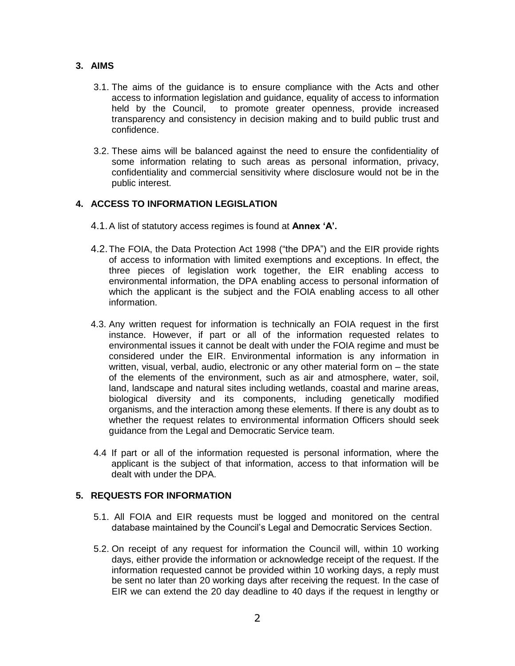### **3. AIMS**

- 3.1. The aims of the guidance is to ensure compliance with the Acts and other access to information legislation and guidance, equality of access to information held by the Council, to promote greater openness, provide increased transparency and consistency in decision making and to build public trust and confidence.
- 3.2. These aims will be balanced against the need to ensure the confidentiality of some information relating to such areas as personal information, privacy, confidentiality and commercial sensitivity where disclosure would not be in the public interest.

# **4. ACCESS TO INFORMATION LEGISLATION**

- 4.1.A list of statutory access regimes is found at **Annex 'A'.**
- 4.2.The FOIA, the Data Protection Act 1998 ("the DPA") and the EIR provide rights of access to information with limited exemptions and exceptions. In effect, the three pieces of legislation work together, the EIR enabling access to environmental information, the DPA enabling access to personal information of which the applicant is the subject and the FOIA enabling access to all other information.
- 4.3. Any written request for information is technically an FOIA request in the first instance. However, if part or all of the information requested relates to environmental issues it cannot be dealt with under the FOIA regime and must be considered under the EIR. Environmental information is any information in written, visual, verbal, audio, electronic or any other material form on – the state of the elements of the environment, such as air and atmosphere, water, soil, land, landscape and natural sites including wetlands, coastal and marine areas, biological diversity and its components, including genetically modified organisms, and the interaction among these elements. If there is any doubt as to whether the request relates to environmental information Officers should seek guidance from the Legal and Democratic Service team.
- 4.4 If part or all of the information requested is personal information, where the applicant is the subject of that information, access to that information will be dealt with under the DPA.

# **5. REQUESTS FOR INFORMATION**

- 5.1. All FOIA and EIR requests must be logged and monitored on the central database maintained by the Council's Legal and Democratic Services Section.
- 5.2. On receipt of any request for information the Council will, within 10 working days, either provide the information or acknowledge receipt of the request. If the information requested cannot be provided within 10 working days, a reply must be sent no later than 20 working days after receiving the request. In the case of EIR we can extend the 20 day deadline to 40 days if the request in lengthy or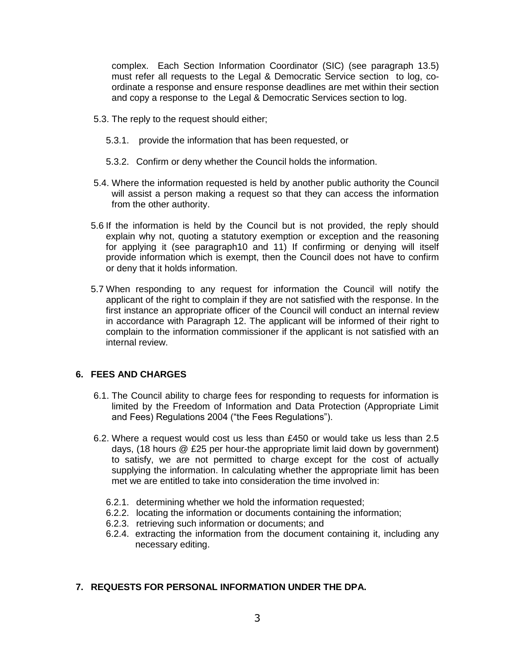complex. Each Section Information Coordinator (SIC) (see paragraph 13.5) must refer all requests to the Legal & Democratic Service section to log, coordinate a response and ensure response deadlines are met within their section and copy a response to the Legal & Democratic Services section to log.

- 5.3. The reply to the request should either;
	- 5.3.1. provide the information that has been requested, or
	- 5.3.2. Confirm or deny whether the Council holds the information.
- 5.4. Where the information requested is held by another public authority the Council will assist a person making a request so that they can access the information from the other authority.
- 5.6 If the information is held by the Council but is not provided, the reply should explain why not, quoting a statutory exemption or exception and the reasoning for applying it (see paragraph10 and 11) If confirming or denying will itself provide information which is exempt, then the Council does not have to confirm or deny that it holds information.
- 5.7 When responding to any request for information the Council will notify the applicant of the right to complain if they are not satisfied with the response. In the first instance an appropriate officer of the Council will conduct an internal review in accordance with Paragraph 12. The applicant will be informed of their right to complain to the information commissioner if the applicant is not satisfied with an internal review.

# **6. FEES AND CHARGES**

- 6.1. The Council ability to charge fees for responding to requests for information is limited by the Freedom of Information and Data Protection (Appropriate Limit and Fees) Regulations 2004 ("the Fees Regulations").
- 6.2. Where a request would cost us less than £450 or would take us less than 2.5 days, (18 hours @ £25 per hour-the appropriate limit laid down by government) to satisfy, we are not permitted to charge except for the cost of actually supplying the information. In calculating whether the appropriate limit has been met we are entitled to take into consideration the time involved in:
	- 6.2.1. determining whether we hold the information requested;
	- 6.2.2. locating the information or documents containing the information;
	- 6.2.3. retrieving such information or documents; and
	- 6.2.4. extracting the information from the document containing it, including any necessary editing.

# **7. REQUESTS FOR PERSONAL INFORMATION UNDER THE DPA.**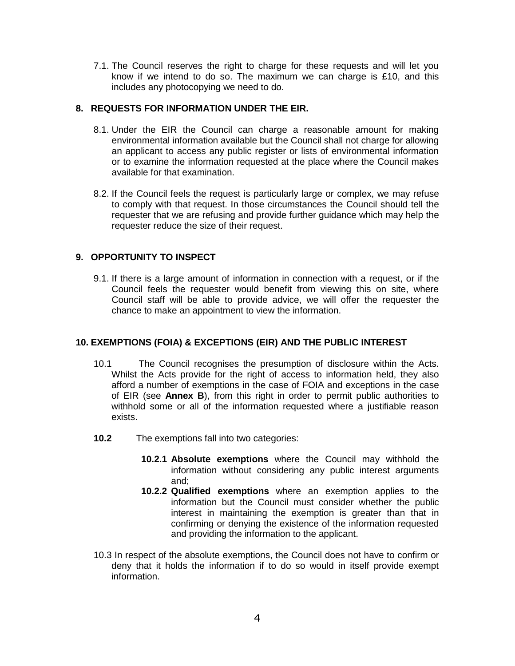7.1. The Council reserves the right to charge for these requests and will let you know if we intend to do so. The maximum we can charge is  $£10$ , and this includes any photocopying we need to do.

### **8. REQUESTS FOR INFORMATION UNDER THE EIR.**

- 8.1. Under the EIR the Council can charge a reasonable amount for making environmental information available but the Council shall not charge for allowing an applicant to access any public register or lists of environmental information or to examine the information requested at the place where the Council makes available for that examination.
- 8.2. If the Council feels the request is particularly large or complex, we may refuse to comply with that request. In those circumstances the Council should tell the requester that we are refusing and provide further guidance which may help the requester reduce the size of their request.

### **9. OPPORTUNITY TO INSPECT**

9.1. If there is a large amount of information in connection with a request, or if the Council feels the requester would benefit from viewing this on site, where Council staff will be able to provide advice, we will offer the requester the chance to make an appointment to view the information.

# **10. EXEMPTIONS (FOIA) & EXCEPTIONS (EIR) AND THE PUBLIC INTEREST**

- 10.1 The Council recognises the presumption of disclosure within the Acts. Whilst the Acts provide for the right of access to information held, they also afford a number of exemptions in the case of FOIA and exceptions in the case of EIR (see **Annex B**), from this right in order to permit public authorities to withhold some or all of the information requested where a justifiable reason exists.
- **10.2** The exemptions fall into two categories:
	- **10.2.1 Absolute exemptions** where the Council may withhold the information without considering any public interest arguments and;
	- **10.2.2 Qualified exemptions** where an exemption applies to the information but the Council must consider whether the public interest in maintaining the exemption is greater than that in confirming or denying the existence of the information requested and providing the information to the applicant.
- 10.3 In respect of the absolute exemptions, the Council does not have to confirm or deny that it holds the information if to do so would in itself provide exempt information.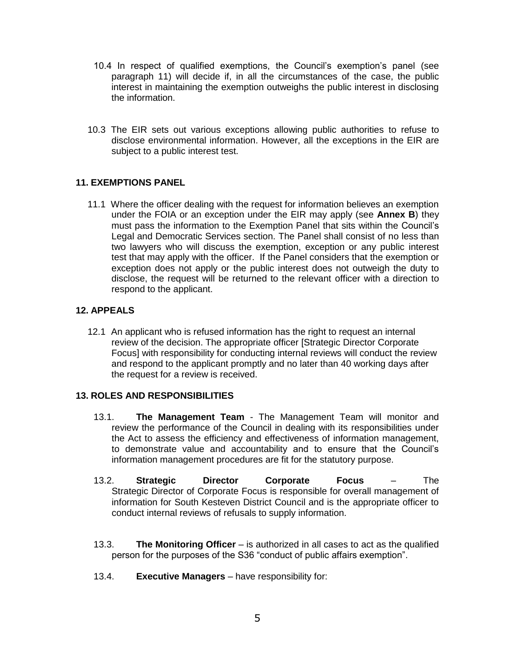- 10.4 In respect of qualified exemptions, the Council's exemption's panel (see paragraph 11) will decide if, in all the circumstances of the case, the public interest in maintaining the exemption outweighs the public interest in disclosing the information.
- 10.3 The EIR sets out various exceptions allowing public authorities to refuse to disclose environmental information. However, all the exceptions in the EIR are subject to a public interest test.

# **11. EXEMPTIONS PANEL**

11.1 Where the officer dealing with the request for information believes an exemption under the FOIA or an exception under the EIR may apply (see **Annex B**) they must pass the information to the Exemption Panel that sits within the Council's Legal and Democratic Services section. The Panel shall consist of no less than two lawyers who will discuss the exemption, exception or any public interest test that may apply with the officer. If the Panel considers that the exemption or exception does not apply or the public interest does not outweigh the duty to disclose, the request will be returned to the relevant officer with a direction to respond to the applicant.

### **12. APPEALS**

12.1 An applicant who is refused information has the right to request an internal review of the decision. The appropriate officer [Strategic Director Corporate Focus] with responsibility for conducting internal reviews will conduct the review and respond to the applicant promptly and no later than 40 working days after the request for a review is received.

#### **13. ROLES AND RESPONSIBILITIES**

- 13.1. **The Management Team** The Management Team will monitor and review the performance of the Council in dealing with its responsibilities under the Act to assess the efficiency and effectiveness of information management, to demonstrate value and accountability and to ensure that the Council's information management procedures are fit for the statutory purpose.
- 13.2. **Strategic Director Corporate Focus** The Strategic Director of Corporate Focus is responsible for overall management of information for South Kesteven District Council and is the appropriate officer to conduct internal reviews of refusals to supply information.
- 13.3. **The Monitoring Officer** is authorized in all cases to act as the qualified person for the purposes of the S36 "conduct of public affairs exemption".
- 13.4. **Executive Managers**  have responsibility for: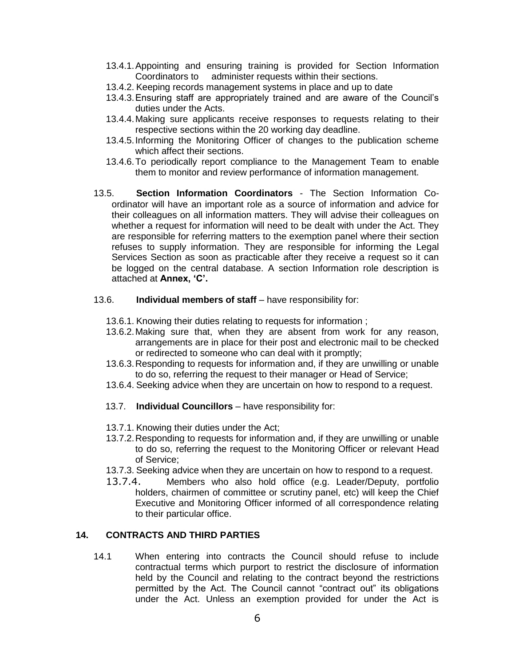- 13.4.1.Appointing and ensuring training is provided for Section Information Coordinators to administer requests within their sections.
- 13.4.2. Keeping records management systems in place and up to date
- 13.4.3.Ensuring staff are appropriately trained and are aware of the Council's duties under the Acts.
- 13.4.4.Making sure applicants receive responses to requests relating to their respective sections within the 20 working day deadline.
- 13.4.5.Informing the Monitoring Officer of changes to the publication scheme which affect their sections.
- 13.4.6.To periodically report compliance to the Management Team to enable them to monitor and review performance of information management.
- 13.5. **Section Information Coordinators** The Section Information Coordinator will have an important role as a source of information and advice for their colleagues on all information matters. They will advise their colleagues on whether a request for information will need to be dealt with under the Act. They are responsible for referring matters to the exemption panel where their section refuses to supply information. They are responsible for informing the Legal Services Section as soon as practicable after they receive a request so it can be logged on the central database. A section Information role description is attached at **Annex, 'C'.**

### 13.6. **Individual members of staff** – have responsibility for:

- 13.6.1. Knowing their duties relating to requests for information ;
- 13.6.2.Making sure that, when they are absent from work for any reason, arrangements are in place for their post and electronic mail to be checked or redirected to someone who can deal with it promptly;
- 13.6.3.Responding to requests for information and, if they are unwilling or unable to do so, referring the request to their manager or Head of Service;
- 13.6.4. Seeking advice when they are uncertain on how to respond to a request.
- 13.7. **Individual Councillors** have responsibility for:
- 13.7.1. Knowing their duties under the Act;
- 13.7.2.Responding to requests for information and, if they are unwilling or unable to do so, referring the request to the Monitoring Officer or relevant Head of Service;
- 13.7.3. Seeking advice when they are uncertain on how to respond to a request.
- 13.7.4. Members who also hold office (e.g. Leader/Deputy, portfolio holders, chairmen of committee or scrutiny panel, etc) will keep the Chief Executive and Monitoring Officer informed of all correspondence relating to their particular office.

# **14. CONTRACTS AND THIRD PARTIES**

14.1 When entering into contracts the Council should refuse to include contractual terms which purport to restrict the disclosure of information held by the Council and relating to the contract beyond the restrictions permitted by the Act. The Council cannot "contract out" its obligations under the Act. Unless an exemption provided for under the Act is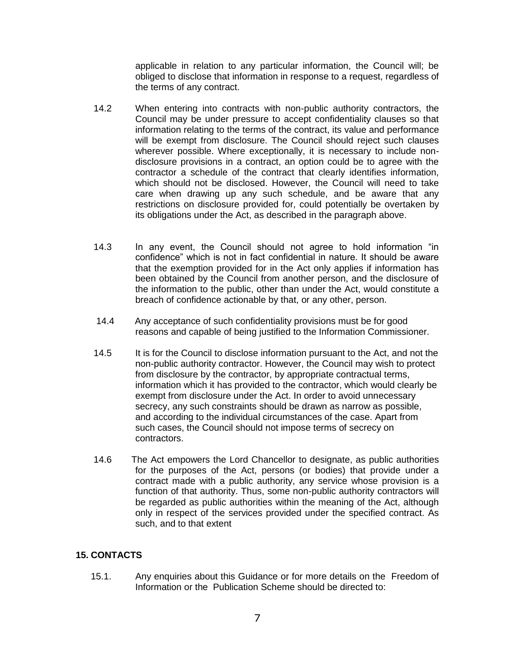applicable in relation to any particular information, the Council will; be obliged to disclose that information in response to a request, regardless of the terms of any contract.

- 14.2 When entering into contracts with non-public authority contractors, the Council may be under pressure to accept confidentiality clauses so that information relating to the terms of the contract, its value and performance will be exempt from disclosure. The Council should reject such clauses wherever possible. Where exceptionally, it is necessary to include nondisclosure provisions in a contract, an option could be to agree with the contractor a schedule of the contract that clearly identifies information, which should not be disclosed. However, the Council will need to take care when drawing up any such schedule, and be aware that any restrictions on disclosure provided for, could potentially be overtaken by its obligations under the Act, as described in the paragraph above.
- 14.3 In any event, the Council should not agree to hold information "in confidence" which is not in fact confidential in nature. It should be aware that the exemption provided for in the Act only applies if information has been obtained by the Council from another person, and the disclosure of the information to the public, other than under the Act, would constitute a breach of confidence actionable by that, or any other, person.
- 14.4 Any acceptance of such confidentiality provisions must be for good reasons and capable of being justified to the Information Commissioner.
- 14.5 It is for the Council to disclose information pursuant to the Act, and not the non-public authority contractor. However, the Council may wish to protect from disclosure by the contractor, by appropriate contractual terms, information which it has provided to the contractor, which would clearly be exempt from disclosure under the Act. In order to avoid unnecessary secrecy, any such constraints should be drawn as narrow as possible, and according to the individual circumstances of the case. Apart from such cases, the Council should not impose terms of secrecy on contractors.
- 14.6 The Act empowers the Lord Chancellor to designate, as public authorities for the purposes of the Act, persons (or bodies) that provide under a contract made with a public authority, any service whose provision is a function of that authority. Thus, some non-public authority contractors will be regarded as public authorities within the meaning of the Act, although only in respect of the services provided under the specified contract. As such, and to that extent

# **15. CONTACTS**

15.1. Any enquiries about this Guidance or for more details on the Freedom of Information or the Publication Scheme should be directed to: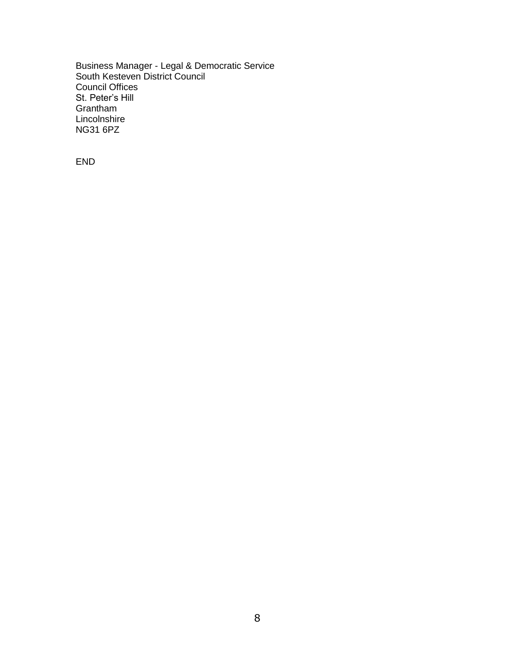Business Manager - Legal & Democratic Service South Kesteven District Council Council Offices St. Peter's Hill Grantham Lincolnshire NG31 6PZ

END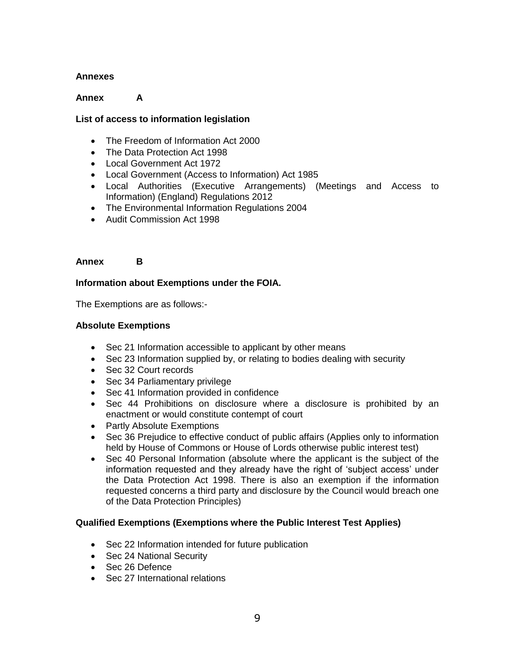### **Annexes**

### **Annex A**

### **List of access to information legislation**

- The Freedom of Information Act 2000
- The Data Protection Act 1998
- Local Government Act 1972
- Local Government (Access to Information) Act 1985
- Local Authorities (Executive Arrangements) (Meetings and Access to Information) (England) Regulations 2012
- The Environmental Information Regulations 2004
- Audit Commission Act 1998

#### **Annex B**

#### **Information about Exemptions under the FOIA.**

The Exemptions are as follows:-

### **Absolute Exemptions**

- Sec 21 Information accessible to applicant by other means
- Sec 23 Information supplied by, or relating to bodies dealing with security
- Sec 32 Court records
- Sec 34 Parliamentary privilege
- Sec 41 Information provided in confidence
- Sec 44 Prohibitions on disclosure where a disclosure is prohibited by an enactment or would constitute contempt of court
- Partly Absolute Exemptions
- Sec 36 Prejudice to effective conduct of public affairs (Applies only to information held by House of Commons or House of Lords otherwise public interest test)
- Sec 40 Personal Information (absolute where the applicant is the subject of the information requested and they already have the right of 'subject access' under the Data Protection Act 1998. There is also an exemption if the information requested concerns a third party and disclosure by the Council would breach one of the Data Protection Principles)

# **Qualified Exemptions (Exemptions where the Public Interest Test Applies)**

- Sec 22 Information intended for future publication
- Sec 24 National Security
- Sec 26 Defence
- Sec 27 International relations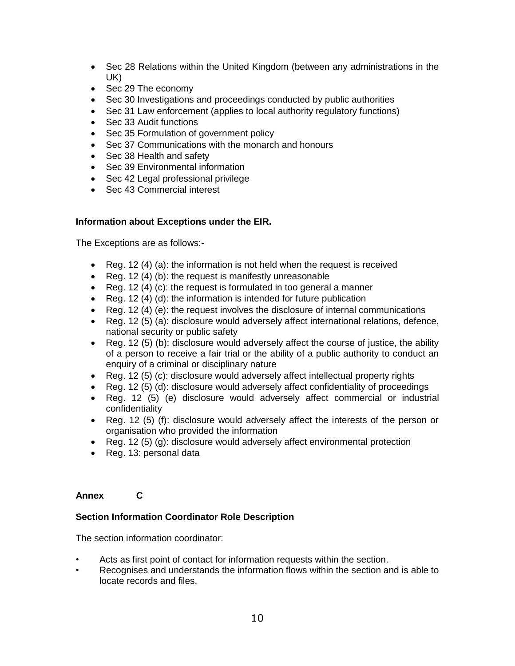- Sec 28 Relations within the United Kingdom (between any administrations in the UK)
- Sec 29 The economy
- Sec 30 Investigations and proceedings conducted by public authorities
- Sec 31 Law enforcement (applies to local authority regulatory functions)
- Sec 33 Audit functions
- Sec 35 Formulation of government policy
- Sec 37 Communications with the monarch and honours
- Sec 38 Health and safety
- Sec 39 Environmental information
- Sec 42 Legal professional privilege
- Sec 43 Commercial interest

# **Information about Exceptions under the EIR.**

The Exceptions are as follows:-

- Reg. 12 (4) (a): the information is not held when the request is received
- Reg. 12 (4) (b): the request is manifestly unreasonable
- Reg. 12 (4) (c): the request is formulated in too general a manner
- Reg. 12 (4) (d): the information is intended for future publication
- Reg. 12 (4) (e): the request involves the disclosure of internal communications
- Reg. 12 (5) (a): disclosure would adversely affect international relations, defence, national security or public safety
- Reg. 12 (5) (b): disclosure would adversely affect the course of justice, the ability of a person to receive a fair trial or the ability of a public authority to conduct an enquiry of a criminal or disciplinary nature
- Reg. 12 (5) (c): disclosure would adversely affect intellectual property rights
- Reg. 12 (5) (d): disclosure would adversely affect confidentiality of proceedings
- Reg. 12 (5) (e) disclosure would adversely affect commercial or industrial confidentiality
- Reg. 12 (5) (f): disclosure would adversely affect the interests of the person or organisation who provided the information
- Reg. 12 (5) (g): disclosure would adversely affect environmental protection
- Reg. 13: personal data

# **Annex C**

# **Section Information Coordinator Role Description**

The section information coordinator:

- Acts as first point of contact for information requests within the section.
- Recognises and understands the information flows within the section and is able to locate records and files.